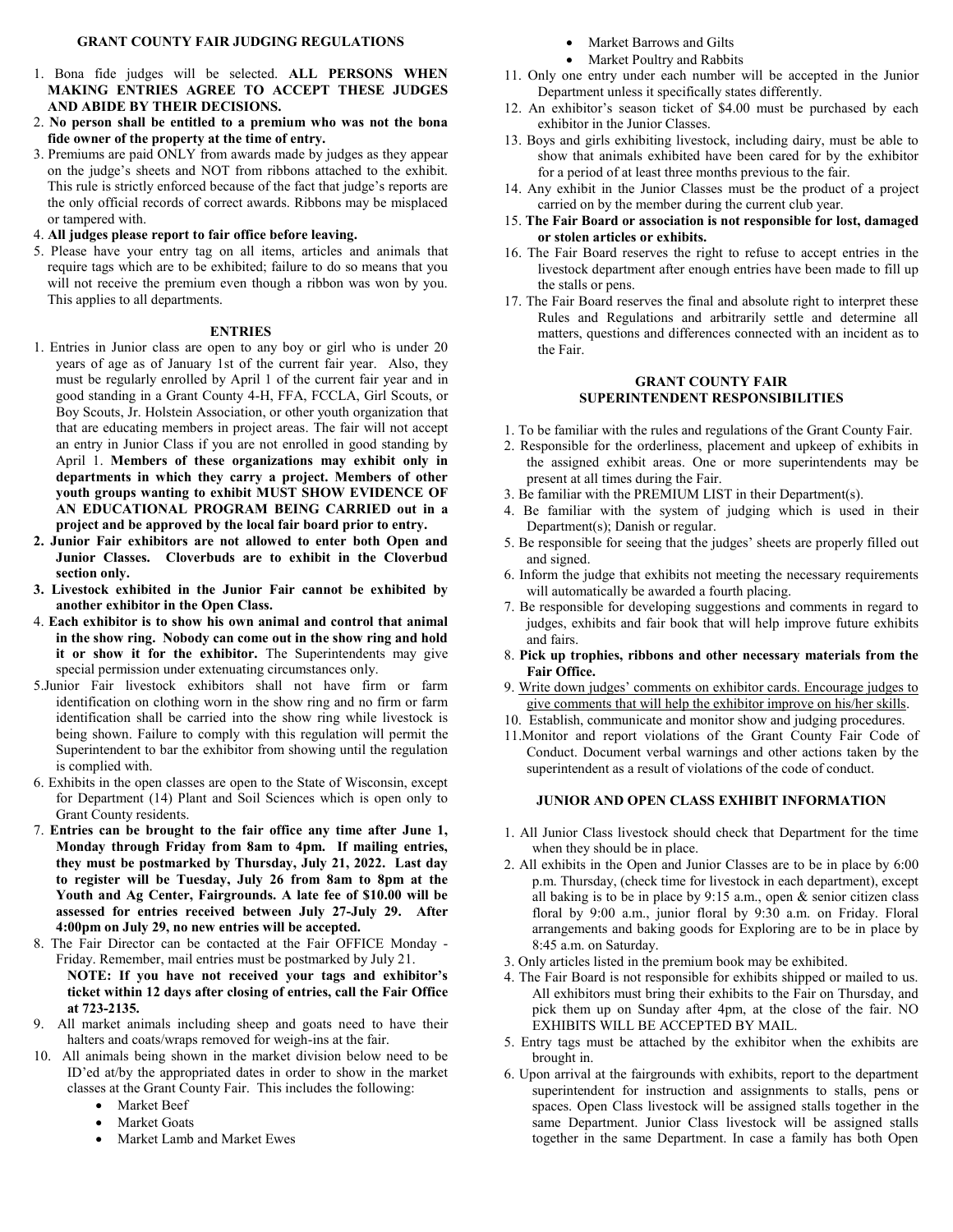- 1. Bona fide judges will be selected. **ALL PERSONS WHEN MAKING ENTRIES AGREE TO ACCEPT THESE JUDGES AND ABIDE BY THEIR DECISIONS.**
- 2. **No person shall be entitled to a premium who was not the bona fide owner of the property at the time of entry.**
- 3. Premiums are paid ONLY from awards made by judges as they appear on the judge's sheets and NOT from ribbons attached to the exhibit. This rule is strictly enforced because of the fact that judge's reports are the only official records of correct awards. Ribbons may be misplaced or tampered with.
- 4. **All judges please report to fair office before leaving.**
- 5. Please have your entry tag on all items, articles and animals that require tags which are to be exhibited; failure to do so means that you will not receive the premium even though a ribbon was won by you. This applies to all departments.

#### **ENTRIES**

- 1. Entries in Junior class are open to any boy or girl who is under 20 years of age as of January 1st of the current fair year. Also, they must be regularly enrolled by April 1 of the current fair year and in good standing in a Grant County 4-H, FFA, FCCLA, Girl Scouts, or Boy Scouts, Jr. Holstein Association, or other youth organization that that are educating members in project areas. The fair will not accept an entry in Junior Class if you are not enrolled in good standing by April 1. **Members of these organizations may exhibit only in departments in which they carry a project. Members of other youth groups wanting to exhibit MUST SHOW EVIDENCE OF AN EDUCATIONAL PROGRAM BEING CARRIED out in a project and be approved by the local fair board prior to entry.**
- **2. Junior Fair exhibitors are not allowed to enter both Open and Junior Classes. Cloverbuds are to exhibit in the Cloverbud section only.**
- **3. Livestock exhibited in the Junior Fair cannot be exhibited by another exhibitor in the Open Class.**
- 4. **Each exhibitor is to show his own animal and control that animal in the show ring. Nobody can come out in the show ring and hold it or show it for the exhibitor.** The Superintendents may give special permission under extenuating circumstances only.
- 5.Junior Fair livestock exhibitors shall not have firm or farm identification on clothing worn in the show ring and no firm or farm identification shall be carried into the show ring while livestock is being shown. Failure to comply with this regulation will permit the Superintendent to bar the exhibitor from showing until the regulation is complied with.
- 6. Exhibits in the open classes are open to the State of Wisconsin, except for Department (14) Plant and Soil Sciences which is open only to Grant County residents.
- 7. **Entries can be brought to the fair office any time after June 1, Monday through Friday from 8am to 4pm. If mailing entries, they must be postmarked by Thursday, July 21, 2022. Last day to register will be Tuesday, July 26 from 8am to 8pm at the Youth and Ag Center, Fairgrounds. A late fee of \$10.00 will be assessed for entries received between July 27-July 29. After 4:00pm on July 29, no new entries will be accepted.**
- 8. The Fair Director can be contacted at the Fair OFFICE Monday Friday. Remember, mail entries must be postmarked by July 21.

**NOTE: If you have not received your tags and exhibitor's ticket within 12 days after closing of entries, call the Fair Office at 723-2135.**

- 9. All market animals including sheep and goats need to have their halters and coats/wraps removed for weigh-ins at the fair.
- 10. All animals being shown in the market division below need to be ID'ed at/by the appropriated dates in order to show in the market classes at the Grant County Fair. This includes the following:
	- Market Beef
	- Market Goats
	- Market Lamb and Market Ewes
- Market Barrows and Gilts
- Market Poultry and Rabbits
- 11. Only one entry under each number will be accepted in the Junior Department unless it specifically states differently.
- 12. An exhibitor's season ticket of \$4.00 must be purchased by each exhibitor in the Junior Classes.
- 13. Boys and girls exhibiting livestock, including dairy, must be able to show that animals exhibited have been cared for by the exhibitor for a period of at least three months previous to the fair.
- 14. Any exhibit in the Junior Classes must be the product of a project carried on by the member during the current club year.
- 15. **The Fair Board or association is not responsible for lost, damaged or stolen articles or exhibits.**
- 16. The Fair Board reserves the right to refuse to accept entries in the livestock department after enough entries have been made to fill up the stalls or pens.
- 17. The Fair Board reserves the final and absolute right to interpret these Rules and Regulations and arbitrarily settle and determine all matters, questions and differences connected with an incident as to the Fair.

### **GRANT COUNTY FAIR SUPERINTENDENT RESPONSIBILITIES**

- 1. To be familiar with the rules and regulations of the Grant County Fair.
- 2. Responsible for the orderliness, placement and upkeep of exhibits in the assigned exhibit areas. One or more superintendents may be present at all times during the Fair.
- 3. Be familiar with the PREMIUM LIST in their Department(s).
- 4. Be familiar with the system of judging which is used in their Department(s); Danish or regular.
- 5. Be responsible for seeing that the judges' sheets are properly filled out and signed.
- 6. Inform the judge that exhibits not meeting the necessary requirements will automatically be awarded a fourth placing.
- 7. Be responsible for developing suggestions and comments in regard to judges, exhibits and fair book that will help improve future exhibits and fairs.
- 8. **Pick up trophies, ribbons and other necessary materials from the Fair Office.**
- 9. Write down judges' comments on exhibitor cards. Encourage judges to give comments that will help the exhibitor improve on his/her skills.
- 10. Establish, communicate and monitor show and judging procedures.
- 11.Monitor and report violations of the Grant County Fair Code of Conduct. Document verbal warnings and other actions taken by the superintendent as a result of violations of the code of conduct.

## **JUNIOR AND OPEN CLASS EXHIBIT INFORMATION**

- 1. All Junior Class livestock should check that Department for the time when they should be in place.
- 2. All exhibits in the Open and Junior Classes are to be in place by 6:00 p.m. Thursday, (check time for livestock in each department), except all baking is to be in place by 9:15 a.m., open  $\&$  senior citizen class floral by 9:00 a.m., junior floral by 9:30 a.m. on Friday. Floral arrangements and baking goods for Exploring are to be in place by 8:45 a.m. on Saturday.
- 3. Only articles listed in the premium book may be exhibited.
- 4. The Fair Board is not responsible for exhibits shipped or mailed to us. All exhibitors must bring their exhibits to the Fair on Thursday, and pick them up on Sunday after 4pm, at the close of the fair. NO EXHIBITS WILL BE ACCEPTED BY MAIL.
- 5. Entry tags must be attached by the exhibitor when the exhibits are brought in.
- 6. Upon arrival at the fairgrounds with exhibits, report to the department superintendent for instruction and assignments to stalls, pens or spaces. Open Class livestock will be assigned stalls together in the same Department. Junior Class livestock will be assigned stalls together in the same Department. In case a family has both Open